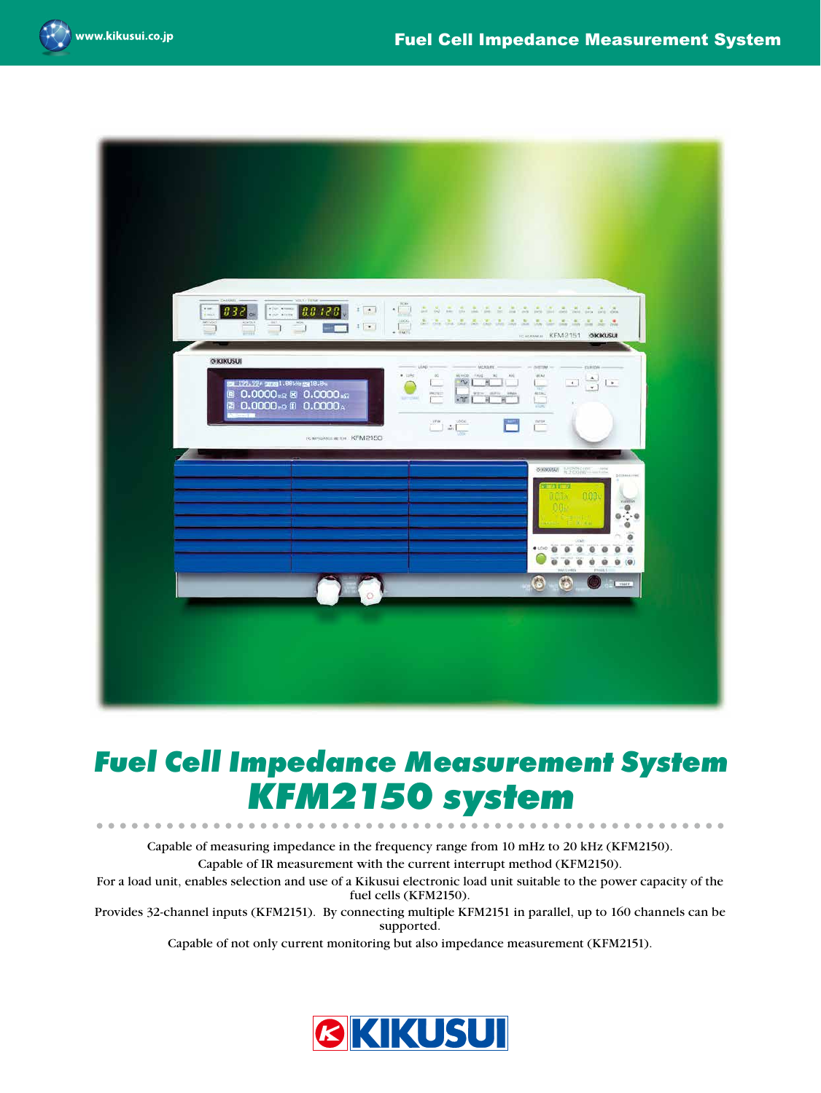

. . . . . .





# *Fuel Cell Impedance Measurement System KFM2150 system*

Capable of measuring impedance in the frequency range from 10 mHz to 20 kHz (KFM2150). Capable of IR measurement with the current interrupt method (KFM2150).

 $\triangle$ 

For a load unit, enables selection and use of a Kikusui electronic load unit suitable to the power capacity of the fuel cells (KFM2150).

Provides 32-channel inputs (KFM2151). By connecting multiple KFM2151 in parallel, up to 160 channels can be supported.

Capable of not only current monitoring but also impedance measurement (KFM2151).

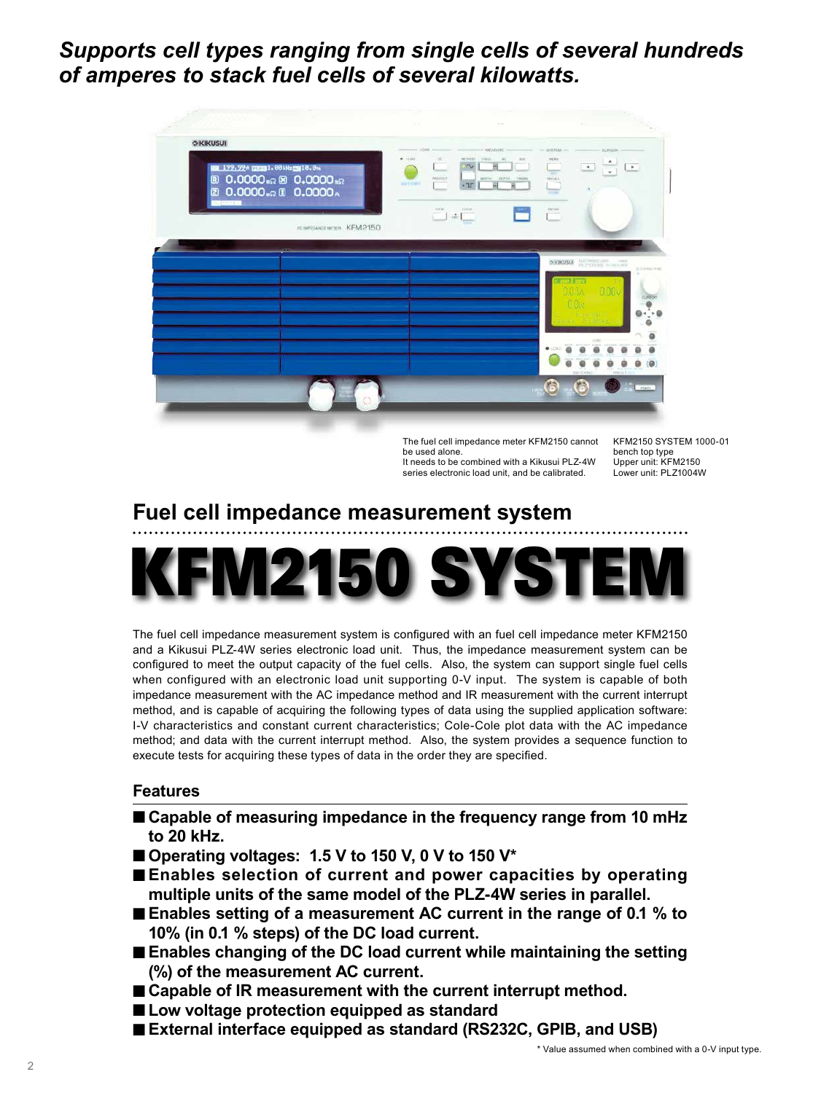## *Supports cell types ranging from single cells of several hundreds of amperes to stack fuel cells of several kilowatts.*



The fuel cell impedance meter KFM2150 cannot be used alone. It needs to be combined with a Kikusui PLZ-4W series electronic load unit, and be calibrated.

KFM2150 SYSTEM 1000-01 bench top type Upper unit: KFM2150 Lower unit: PLZ1004W

# **Fuel cell impedance measurement system**



The fuel cell impedance measurement system is configured with an fuel cell impedance meter KFM2150 and a Kikusui PLZ-4W series electronic load unit. Thus, the impedance measurement system can be configured to meet the output capacity of the fuel cells. Also, the system can support single fuel cells when configured with an electronic load unit supporting 0-V input. The system is capable of both impedance measurement with the AC impedance method and IR measurement with the current interrupt method, and is capable of acquiring the following types of data using the supplied application software: I-V characteristics and constant current characteristics; Cole-Cole plot data with the AC impedance method; and data with the current interrupt method. Also, the system provides a sequence function to execute tests for acquiring these types of data in the order they are specified.

## **Features**

- Capable of measuring impedance in the frequency range from 10 mHz **to 20 kHz.**
- Operating voltages: 1.5 V to 150 V, 0 V to 150 V<sup>\*</sup>
- **Enables selection of current and power capacities by operating multiple units of the same model of the PLZ-4W series in parallel.**
- **Enables setting of a measurement AC current in the range of 0.1 % to 10% (in 0.1 % steps) of the DC load current.**
- **Enables changing of the DC load current while maintaining the setting (%) of the measurement AC current.**
- Capable of IR measurement with the current interrupt method.
- Low voltage protection equipped as standard
- **External interface equipped as standard (RS232C, GPIB, and USB)**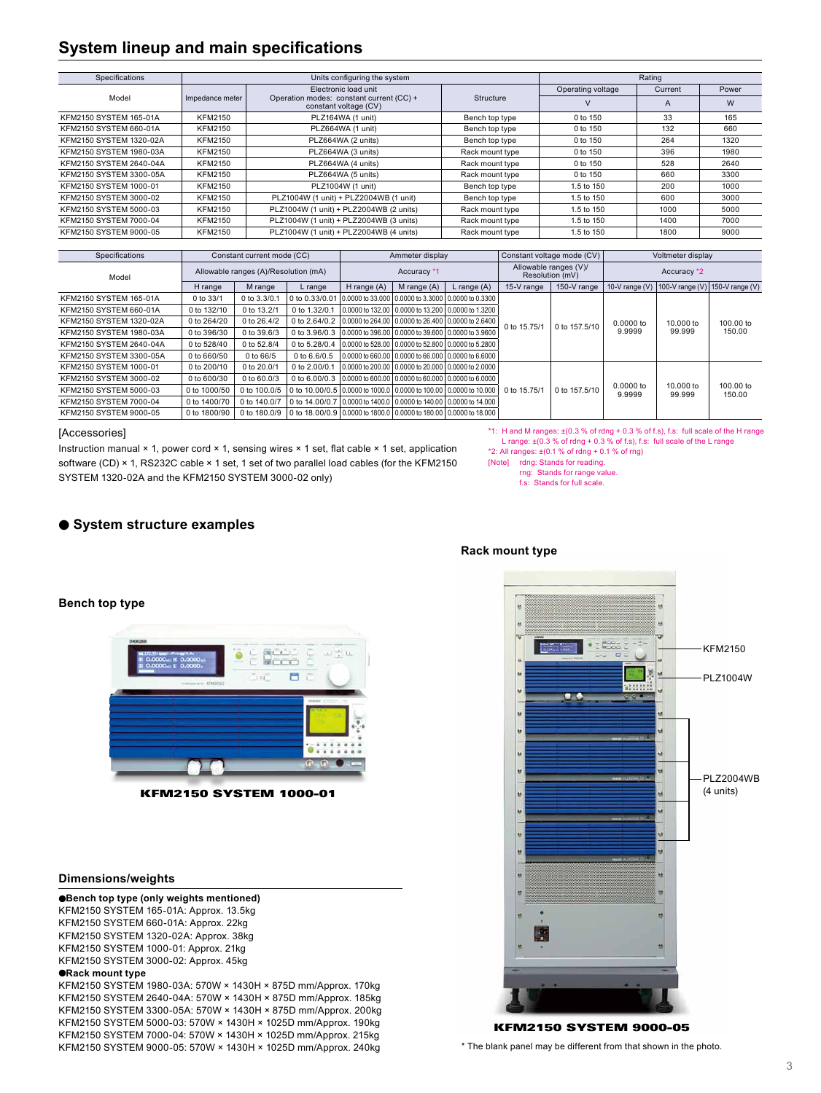## **System lineup and main specifications**

| Specifications          |                 | Units configuring the system                                      | Rating           |                   |         |       |
|-------------------------|-----------------|-------------------------------------------------------------------|------------------|-------------------|---------|-------|
|                         |                 | Electronic load unit                                              |                  | Operating voltage | Current | Power |
| Model                   | Impedance meter | Operation modes: constant current (CC) +<br>constant voltage (CV) | <b>Structure</b> | v                 | A       | W     |
| KFM2150 SYSTEM 165-01A  | <b>KFM2150</b>  | PLZ164WA (1 unit)                                                 | Bench top type   | 0 to 150          | 33      | 165   |
| KFM2150 SYSTEM 660-01A  | <b>KFM2150</b>  | PLZ664WA (1 unit)                                                 | Bench top type   | 0 to 150          | 132     | 660   |
| KFM2150 SYSTEM 1320-02A | KFM2150         | PLZ664WA (2 units)                                                | Bench top type   | $0$ to 150        | 264     | 1320  |
| KFM2150 SYSTEM 1980-03A | <b>KFM2150</b>  | PLZ664WA (3 units)                                                | Rack mount type  | 0 to 150          | 396     | 1980  |
| KFM2150 SYSTEM 2640-04A | KFM2150         | PLZ664WA (4 units)                                                | Rack mount type  | 0 to 150          | 528     | 2640  |
| KFM2150 SYSTEM 3300-05A | <b>KFM2150</b>  | PLZ664WA (5 units)                                                | Rack mount type  | 0 to 150          | 660     | 3300  |
| KFM2150 SYSTEM 1000-01  | <b>KFM2150</b>  | PLZ1004W (1 unit)                                                 | Bench top type   | 1.5 to 150        | 200     | 1000  |
| KFM2150 SYSTEM 3000-02  | <b>KFM2150</b>  | PLZ1004W (1 unit) + PLZ2004WB (1 unit)                            | Bench top type   | 1.5 to 150        | 600     | 3000  |
| KFM2150 SYSTEM 5000-03  | <b>KFM2150</b>  | PLZ1004W (1 unit) + PLZ2004WB (2 units)                           | Rack mount type  | 1.5 to 150        | 1000    | 5000  |
| KFM2150 SYSTEM 7000-04  | <b>KFM2150</b>  | PLZ1004W (1 unit) + PLZ2004WB (3 units)                           | Rack mount type  | 1.5 to 150        | 1400    | 7000  |
| KFM2150 SYSTEM 9000-05  | <b>KFM2150</b>  | PLZ1004W (1 unit) + PLZ2004WB (4 units)                           | Rack mount type  | 1.5 to 150        | 1800    | 9000  |

| Specifications          | Constant current mode (CC)           |              | Ammeter display                                                         |                                                                         | Constant voltage mode (CV)               |                                                        | Voltmeter display |               |                     |                                   |                     |
|-------------------------|--------------------------------------|--------------|-------------------------------------------------------------------------|-------------------------------------------------------------------------|------------------------------------------|--------------------------------------------------------|-------------------|---------------|---------------------|-----------------------------------|---------------------|
| Model                   | Allowable ranges (A)/Resolution (mA) |              | Accuracy *1                                                             |                                                                         | Allowable ranges (V)/<br>Resolution (mV) |                                                        | Accuracy *2       |               |                     |                                   |                     |
|                         | H range                              | M range      | L range                                                                 | H range (A)                                                             | M range (A)                              | L range (A)                                            | 15-V range        | 150-V range   |                     | 10-V range (V) $ 100-V$ range (V) | 150-V range $(V)$   |
| KFM2150 SYSTEM 165-01A  | 0 to 33/1                            | 0 to 3.3/0.1 | 0 to 0.33/0.01                                                          |                                                                         |                                          | 0.0000 to 33.000 0.0000 to 3.3000 0.0000 to 0.3300     | 0 to 15.75/1      | 0 to 157,5/10 | 0.0000 to<br>9.9999 | 10,000 to<br>99.999               | 100,00 to<br>150.00 |
| KFM2150 SYSTEM 660-01A  | 0 to 132/10                          | 0 to 13.2/1  | 0 to 1.32/0.1                                                           |                                                                         |                                          | 0.0000 to 132.00   0.0000 to 13.200   0.0000 to 1.3200 |                   |               |                     |                                   |                     |
| KFM2150 SYSTEM 1320-02A | 0 to 264/20                          | 0 to 26,4/2  |                                                                         | 0 to 2.64/0.2 0.0000 to 264.00 0.0000 to 26.400 0.0000 to 2.6400        |                                          |                                                        |                   |               |                     |                                   |                     |
| KFM2150 SYSTEM 1980-03A | 0 to 396/30                          | 0 to 39.6/3  |                                                                         | 0 to 3.96/0.3 0.0000 to 396.00 0.0000 to 39.600 0.0000 to 3.9600        |                                          |                                                        |                   |               |                     |                                   |                     |
| KFM2150 SYSTEM 2640-04A | 0 to 528/40                          | 0 to 52.8/4  | 0 to 5.28/0.4                                                           |                                                                         |                                          | 0.0000 to 528.00   0.0000 to 52.800   0.0000 to 5.2800 |                   |               |                     |                                   |                     |
| KFM2150 SYSTEM 3300-05A | 0 to 660/50                          | 0 to 66/5    | 0 to 6.6/0.5                                                            |                                                                         |                                          | 0.0000 to 660.00   0.0000 to 66.000   0.0000 to 6.6000 |                   |               |                     |                                   |                     |
| KFM2150 SYSTEM 1000-01  | 0 to 200/10                          | 0 to 20.0/1  | 0 to 2,00/0.1                                                           |                                                                         |                                          | 0.0000 to 200.00   0.0000 to 20.000   0.0000 to 2.0000 |                   |               | 0.0000 to<br>9.9999 | 10.000 to<br>99.999               | 100.00 to<br>150.00 |
| KFM2150 SYSTEM 3000-02  | 0 to 600/30                          | 0 to 60,0/3  |                                                                         | 0 to 6.00/0.3 0.0000 to 600.00 0.0000 to 60.000 0.0000 to 6.0000        |                                          |                                                        |                   |               |                     |                                   |                     |
| KFM2150 SYSTEM 5000-03  | 0 to 1000/50                         | 0 to 100.0/5 |                                                                         | 0 to 10,00/0.5 0,0000 to 1000.0 0,0000 to 100.00 0,0000 to 10,000       |                                          |                                                        | 0 to 15.75/1      | 0 to 157,5/10 |                     |                                   |                     |
| KFM2150 SYSTEM 7000-04  | 0 to 1400/70                         | 0 to 140.0/7 |                                                                         | 0 to 14.00/0.7   0.0000 to 1400.0   0.0000 to 140.00   0.0000 to 14.000 |                                          |                                                        |                   |               |                     |                                   |                     |
| KFM2150 SYSTEM 9000-05  | 0 to 1800/90                         | 0 to 180,0/9 | 0 to 18,00/0.9   0,0000 to 1800.0   0,0000 to 180,00   0,0000 to 18,000 |                                                                         |                                          |                                                        |                   |               |                     |                                   |                     |

#### [Accessories]

**Bench top type**

Instruction manual × 1, power cord × 1, sensing wires × 1 set, flat cable × 1 set, application software (CD) × 1, RS232C cable × 1 set, 1 set of two parallel load cables (for the KFM2150 SYSTEM 1320-02A and the KFM2150 SYSTEM 3000-02 only)

| *1: H and M ranges: $\pm$ (0.3 % of rdng + 0.3 % of f.s), f.s: full scale of the H range |
|------------------------------------------------------------------------------------------|
| L range: $\pm$ (0.3 % of rdng + 0.3 % of f.s), f.s: full scale of the L range            |

\*2: All ranges:  $\pm (0.1 \% \text{ of } \text{r} \text{d} \text{m}) + 0.1 \% \text{ of } \text{r} \text{m}$ 

[Note] rdng: Stands for reading.

rng: Stands for range value.

f.s: Stands for full scale.

### ● **System structure examples**



KFM2150 SYSTEM 9000-05

\* The blank panel may be different from that shown in the photo.

# ilan<br>Mana  $\omega = 1$ 目  $\overline{\phantom{a}}$

KFM2150 SYSTEM 1000-01

#### **Dimensions/weights**

●**Bench top type (only weights mentioned)** KFM2150 SYSTEM 165-01A: Approx. 13.5kg KFM2150 SYSTEM 660-01A: Approx. 22kg KFM2150 SYSTEM 1320-02A: Approx. 38kg KFM2150 SYSTEM 1000-01: Approx. 21kg KFM2150 SYSTEM 3000-02: Approx. 45kg

#### ●**Rack mount type**

KFM2150 SYSTEM 1980-03A: 570W × 1430H × 875D mm/Approx. 170kg KFM2150 SYSTEM 2640-04A: 570W × 1430H × 875D mm/Approx. 185kg KFM2150 SYSTEM 3300-05A: 570W × 1430H × 875D mm/Approx. 200kg KFM2150 SYSTEM 5000-03: 570W × 1430H × 1025D mm/Approx. 190kg KFM2150 SYSTEM 7000-04: 570W × 1430H × 1025D mm/Approx. 215kg KFM2150 SYSTEM 9000-05: 570W × 1430H × 1025D mm/Approx. 240kg

## **Rack mount type**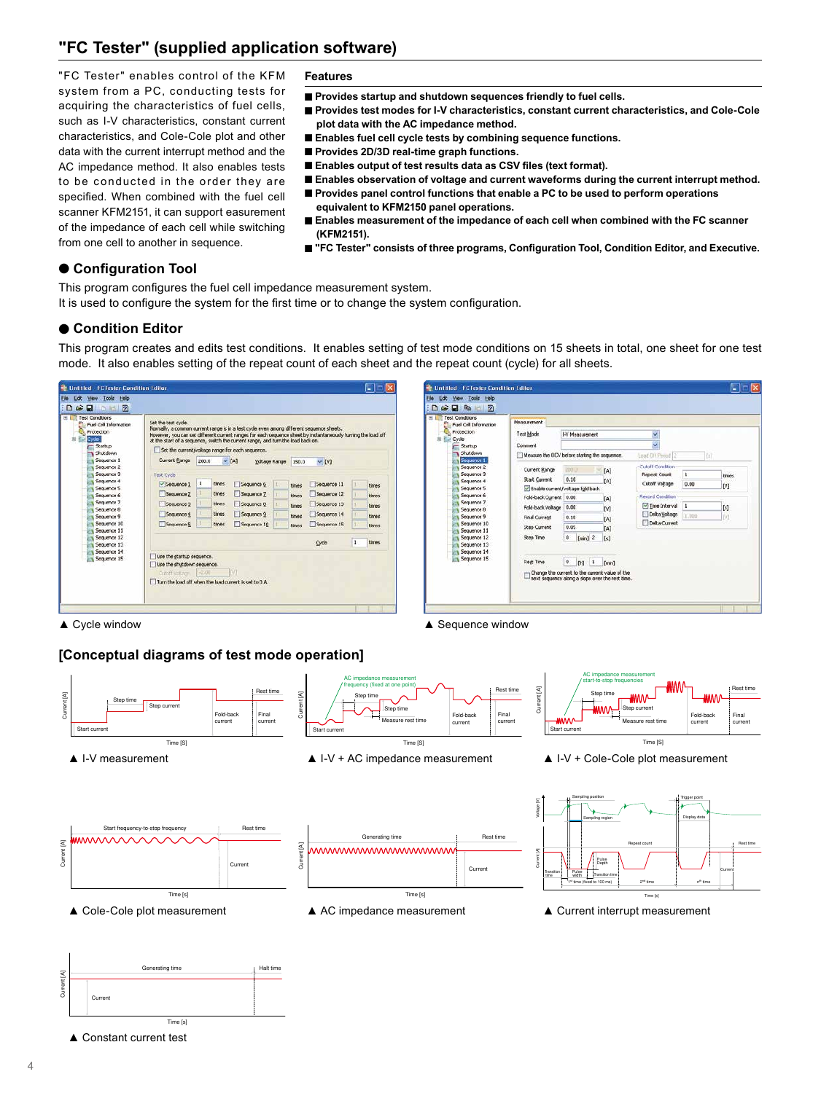## **"FC Tester" (supplied application software)**

"FC Tester" enables control of the KFM system from a PC, conducting tests for acquiring the characteristics of fuel cells, such as I-V characteristics, constant current characteristics, and Cole-Cole plot and other data with the current interrupt method and the AC impedance method. It also enables tests to be conducted in the order they are specified. When combined with the fuel cell scanner KFM2151, it can support easurement of the impedance of each cell while switching from one cell to another in sequence.

#### **Features**

- Provides startup and shutdown sequences friendly to fuel cells.
- Provides test modes for I-V characteristics, constant current characteristics, and Cole-Cole **plot data with the AC impedance method.**
- **Enables fuel cell cycle tests by combining sequence functions.**
- Provides 2D/3D real-time graph functions.
- Enables output of test results data as CSV files (text format).
- Enables observation of voltage and current waveforms during the current interrupt method.
- Provides panel control functions that enable a PC to be used to perform operations **equivalent to KFM2150 panel operations.**
- Enables measurement of the impedance of each cell when combined with the FC scanner **(KFM2151).**
- "FC Tester" consists of three programs, Configuration Tool, Condition Editor, and Executive.

## ● **Configuration Tool**

This program configures the fuel cell impedance measurement system.

It is used to configure the system for the first time or to change the system configuration.

## ● **Condition Editor**

This program creates and edits test conditions. It enables setting of test mode conditions on 15 sheets in total, one sheet for one test mode. It also enables setting of the repeat count of each sheet and the repeat count (cycle) for all sheets.

#### <sup>2</sup> Untitled FCTester Condition Editor tile Edit yew Tools Hel Dee **DBB** at Corell Set the test cycle.<br>Normally, a common current range is in a test cycle even among different se Fuel Cell Info However, you can set different ourrent ranges for each sequence sheet by ins<br>at the start of a sequence, switch the current range, and turn the load back or Cycle Startup<br>Stutdo Set the current/voltage range for each sequ Current Bange 200.0 Sequence<br>Sequence  $\vee$  [A]. Yoltage Range 150.0  $~\vee$  [V] Test Cycl El Seguence 1 1 times El Seguence 6 El Sequence 11 time: times Sequence 2 times TSequence 7 **time** Sequence 12 times Sequence times Sequence 3 Sequence 8 Sequence 13 **Brast Financial** times Sequence 2 **Discussion** 14 times times Sequence: **Ciscomon S** times Sequence 10 El Seguence 15 Sequence 11<br>Sequence 12  $\overline{1}$ **Finan** Sequence 13 like the startup sequence Use the ship down sequence Turn the joad off when the load current is set to 0 A



Current [A]

Current [A]

Current [A]

## **[Conceptual diagrams of test mode operation]**

▲ Cycle window 
▲ Sequence window



▲ Constant current test

Current

Time [s]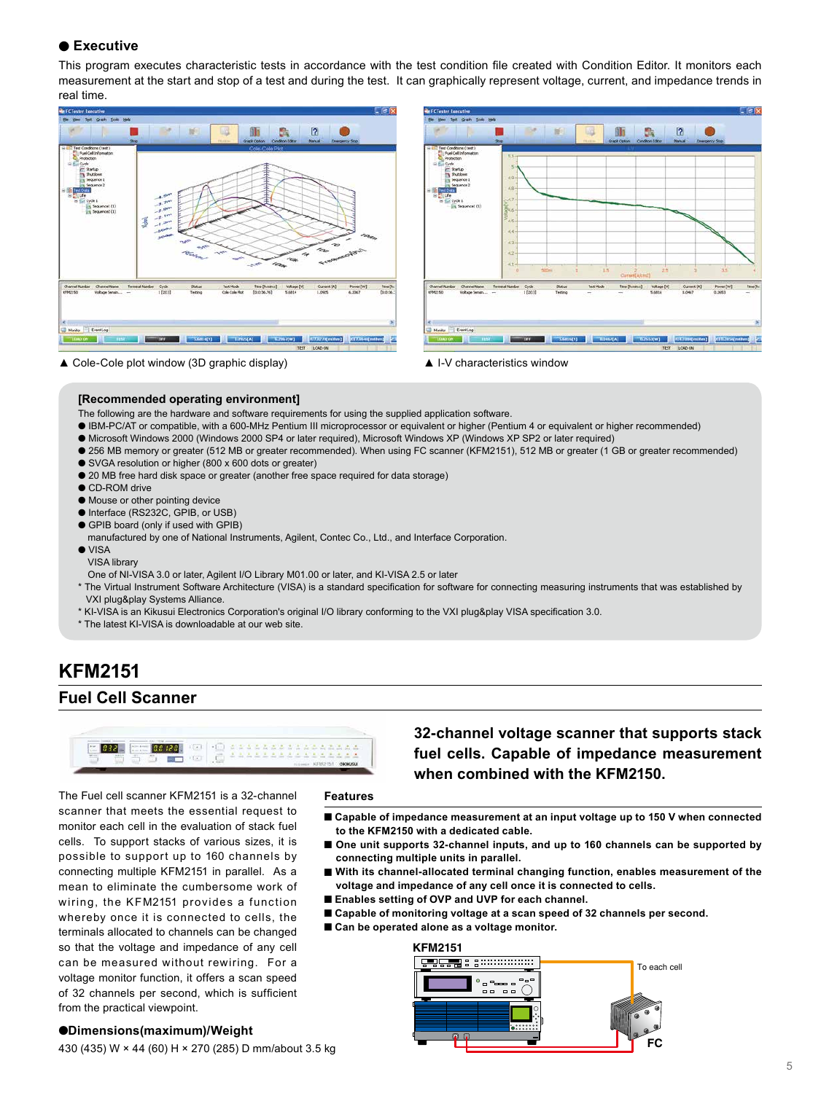## ● **Executive**

This program executes characteristic tests in accordance with the test condition file created with Condition Editor. It monitors each measurement at the start and stop of a test and during the test. It can graphically represent voltage, current, and impedance trends in real time.





▲ Cole-Cole plot window (3D graphic display) ▲ I-V characteristics window



#### **[Recommended operating environment]**

The following are the hardware and software requirements for using the supplied application software.

- IBM-PC/AT or compatible, with a 600-MHz Pentium III microprocessor or equivalent or higher (Pentium 4 or equivalent or higher recommended)
- Microsoft Windows 2000 (Windows 2000 SP4 or later required), Microsoft Windows XP (Windows XP SP2 or later required)
- 256 MB memory or greater (512 MB or greater recommended). When using FC scanner (KFM2151), 512 MB or greater (1 GB or greater recommended) ● SVGA resolution or higher (800 x 600 dots or greater)
- 
- 20 MB free hard disk space or greater (another free space required for data storage)
- CD-ROM drive
- Mouse or other pointing device
- Interface (RS232C, GPIB, or USB)
- GPIB board (only if used with GPIB)
- manufactured by one of National Instruments, Agilent, Contec Co., Ltd., and Interface Corporation.
- VISA
- VISA library
- One of NI-VISA 3.0 or later, Agilent I/O Library M01.00 or later, and KI-VISA 2.5 or later
- \* The Virtual Instrument Software Architecture (VISA) is a standard specification for software for connecting measuring instruments that was established by VXI plug&play Systems Alliance.
- \* KI-VISA is an Kikusui Electronics Corporation's original I/O library conforming to the VXI plug&play VISA specification 3.0.
- \* The latest KI-VISA is downloadable at our web site.

## **KFM2151 Fuel Cell Scanner**



The Fuel cell scanner KFM2151 is a 32-channel scanner that meets the essential request to monitor each cell in the evaluation of stack fuel cells. To support stacks of various sizes, it is possible to support up to 160 channels by connecting multiple KFM2151 in parallel. As a mean to eliminate the cumbersome work of wiring, the KFM2151 provides a function whereby once it is connected to cells, the terminals allocated to channels can be changed so that the voltage and impedance of any cell can be measured without rewiring. For a voltage monitor function, it offers a scan speed of 32 channels per second, which is sufficient from the practical viewpoint.

#### **Features**

**fuel cells. Capable of impedance measurement when combined with the KFM2150.**

**32-channel voltage scanner that supports stack** 

- Capable of impedance measurement at an input voltage up to 150 V when connected **to the KFM2150 with a dedicated cable.**
- One unit supports 32-channel inputs, and up to 160 channels can be supported by **connecting multiple units in parallel.**
- With its channel-allocated terminal changing function, enables measurement of the **voltage and impedance of any cell once it is connected to cells.**
- **Enables setting of OVP and UVP for each channel.**
- Capable of monitoring voltage at a scan speed of 32 channels per second.
- Can be operated alone as a voltage monitor.

## **KFM2151**  $3............$ **HELLER** S To each cell **b**:::::: **FC**

### ●**Dimensions(maximum)/Weight**

430 (435) W × 44 (60) H × 270 (285) D mm/about 3.5 kg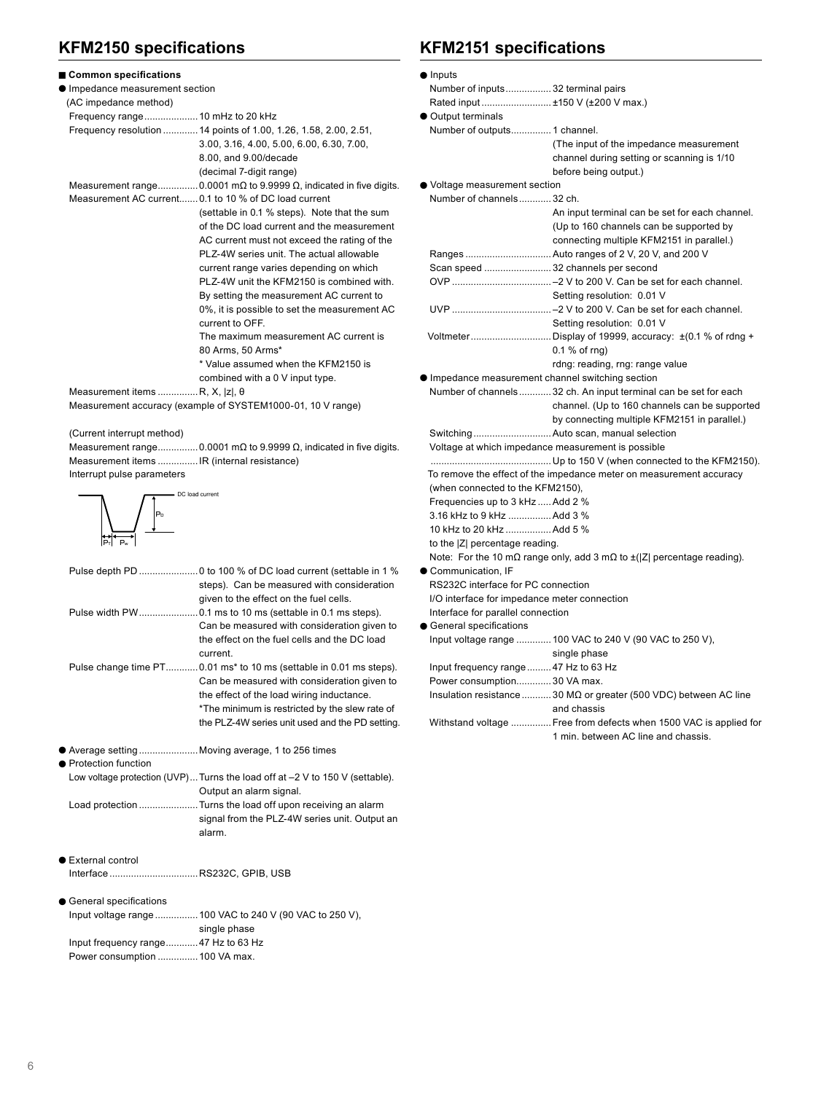## **KFM2150 specifications**

| ■ Common specifications                |                                                                                    |
|----------------------------------------|------------------------------------------------------------------------------------|
| Impedance measurement section          |                                                                                    |
| (AC impedance method)                  |                                                                                    |
|                                        |                                                                                    |
|                                        | Frequency resolution  14 points of 1.00, 1.26, 1.58, 2.00, 2.51,                   |
|                                        | 3.00, 3.16, 4.00, 5.00, 6.00, 6.30, 7.00,                                          |
|                                        | 8.00, and 9.00/decade                                                              |
|                                        | (decimal 7-digit range)                                                            |
|                                        | Measurement range 0.0001 m $\Omega$ to 9.9999 $\Omega$ , indicated in five digits. |
|                                        | Measurement AC current 0.1 to 10 % of DC load current                              |
|                                        | (settable in 0.1 % steps). Note that the sum                                       |
|                                        | of the DC load current and the measurement                                         |
|                                        | AC current must not exceed the rating of the                                       |
|                                        | PLZ-4W series unit. The actual allowable                                           |
|                                        | current range varies depending on which                                            |
|                                        | PLZ-4W unit the KFM2150 is combined with.                                          |
|                                        | By setting the measurement AC current to                                           |
|                                        | 0%, it is possible to set the measurement AC                                       |
|                                        | current to OFF.                                                                    |
|                                        | The maximum measurement AC current is                                              |
|                                        | 80 Arms, 50 Arms*                                                                  |
|                                        | * Value assumed when the KFM2150 is                                                |
|                                        | combined with a 0 V input type.                                                    |
| Measurement items  R, X,  z , $\theta$ |                                                                                    |
|                                        |                                                                                    |

Measurement accuracy (example of SYSTEM1000-01, 10 V range)

(Current interrupt method)

 Measurement range...............0.0001 mΩ to 9.9999 Ω, indicated in five digits. Measurement items ...............IR (internal resistance)

Interrupt pulse parameters



|                            | steps). Can be measured with consideration<br>given to the effect on the fuel cells.                                                                                                                                                                                 |
|----------------------------|----------------------------------------------------------------------------------------------------------------------------------------------------------------------------------------------------------------------------------------------------------------------|
|                            | Can be measured with consideration given to<br>the effect on the fuel cells and the DC load<br>current.                                                                                                                                                              |
|                            | Pulse change time PT 0.01 ms* to 10 ms (settable in 0.01 ms steps).<br>Can be measured with consideration given to<br>the effect of the load wiring inductance.<br>*The minimum is restricted by the slew rate of<br>the PLZ-4W series unit used and the PD setting. |
| ● Protection function      | ● Average setting  Moving average, 1 to 256 times                                                                                                                                                                                                                    |
|                            | Low voltage protection (UVP) Turns the load off at -2 V to 150 V (settable).<br>Output an alarm signal.                                                                                                                                                              |
|                            | Load protection  Turns the load off upon receiving an alarm<br>signal from the PLZ-4W series unit. Output an<br>alarm.                                                                                                                                               |
| <b>External control</b>    |                                                                                                                                                                                                                                                                      |
| InterfaceRS232C, GPIB, USB |                                                                                                                                                                                                                                                                      |
| ● General specifications   | Input voltage range  100 VAC to 240 V (90 VAC to 250 V),                                                                                                                                                                                                             |
|                            | single phase                                                                                                                                                                                                                                                         |

 Input frequency range............47 Hz to 63 Hz Power consumption ...............100 VA max.

## **KFM2151 specifications**

| $\bullet$ Inputs                                |                                                                                             |
|-------------------------------------------------|---------------------------------------------------------------------------------------------|
| Number of inputs 32 terminal pairs              |                                                                                             |
| Rated input  ±150 V (±200 V max.)               |                                                                                             |
| • Output terminals                              |                                                                                             |
| Number of outputs 1 channel.                    |                                                                                             |
|                                                 | (The input of the impedance measurement                                                     |
|                                                 | channel during setting or scanning is 1/10                                                  |
|                                                 | before being output.)                                                                       |
| ● Voltage measurement section                   |                                                                                             |
| Number of channels32 ch.                        |                                                                                             |
|                                                 | An input terminal can be set for each channel.                                              |
|                                                 | (Up to 160 channels can be supported by                                                     |
|                                                 | connecting multiple KFM2151 in parallel.)                                                   |
|                                                 |                                                                                             |
| Scan speed  32 channels per second              |                                                                                             |
|                                                 |                                                                                             |
|                                                 | Setting resolution: 0.01 V                                                                  |
|                                                 |                                                                                             |
|                                                 | Setting resolution: 0.01 V                                                                  |
|                                                 | Voltmeter  Display of 19999, accuracy: ±(0.1 % of rdng +                                    |
|                                                 | $0.1%$ of rng)<br>rdng: reading, rng: range value                                           |
| Impedance measurement channel switching section |                                                                                             |
|                                                 | Number of channels 32 ch. An input terminal can be set for each                             |
|                                                 | channel. (Up to 160 channels can be supported                                               |
|                                                 | by connecting multiple KFM2151 in parallel.)                                                |
|                                                 |                                                                                             |
|                                                 | Voltage at which impedance measurement is possible                                          |
|                                                 |                                                                                             |
|                                                 | To remove the effect of the impedance meter on measurement accuracy                         |
| (when connected to the KFM2150),                |                                                                                             |
| Frequencies up to 3 kHz  Add 2 %                |                                                                                             |
| 3.16 kHz to 9 kHz  Add 3 %                      |                                                                                             |
| 10 kHz to 20 kHz Add 5 %                        |                                                                                             |
| to the  Z  percentage reading.                  |                                                                                             |
|                                                 | Note: For the 10 m $\Omega$ range only, add 3 m $\Omega$ to $\pm$ ( Z  percentage reading). |
| Communication. IF                               |                                                                                             |
| RS232C interface for PC connection              |                                                                                             |
| I/O interface for impedance meter connection    |                                                                                             |
| Interface for parallel connection               |                                                                                             |
| <b>General specifications</b>                   |                                                                                             |
|                                                 | Input voltage range  100 VAC to 240 V (90 VAC to 250 V),                                    |
|                                                 | single phase                                                                                |
| Input frequency range  47 Hz to 63 Hz           |                                                                                             |
| Power consumption 30 VA max.                    |                                                                                             |
|                                                 | Insulation resistance  30 MΩ or greater (500 VDC) between AC line                           |
|                                                 | and chassis                                                                                 |
|                                                 | Withstand voltage  Free from defects when 1500 VAC is applied for                           |

1 min. between AC line and chassis.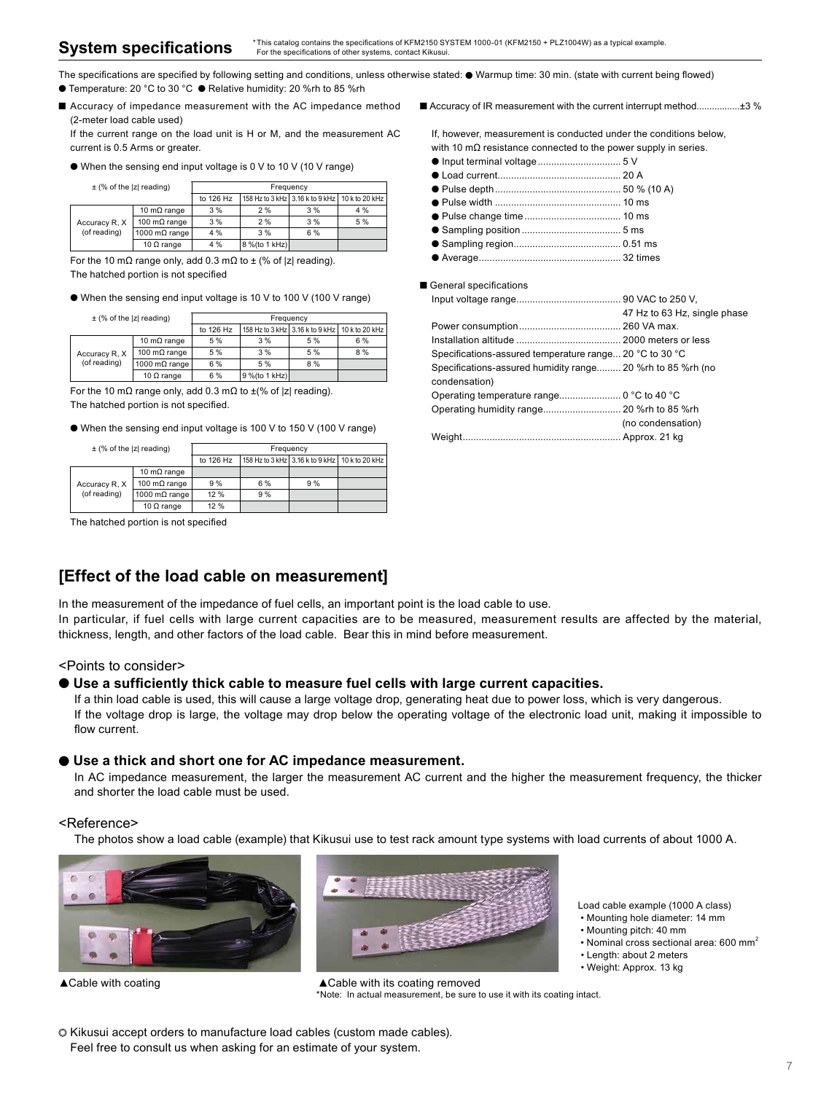The specifications are specified by following setting and conditions, unless otherwise stated: ● Warmup time: 30 min. (state with current being flowed) ● Temperature: 20 °C to 30 °C ● Relative humidity: 20 %rh to 85 %rh

■ Accuracy of impedance measurement with the AC impedance method (2-meter load cable used)

If the current range on the load unit is H or M, and the measurement AC current is 0.5 Arms or greater.

● When the sensing end input voltage is 0 V to 10 V (10 V range)

 $\pm$  (% of the  $|z|$  reading)

| $\pm$ (70 or the $\epsilon$ reading) |                       | .         |                |                                                |     |
|--------------------------------------|-----------------------|-----------|----------------|------------------------------------------------|-----|
|                                      |                       | to 126 Hz |                | 158 Hz to 3 kHz 3.16 k to 9 kHz 10 k to 20 kHz |     |
| Accuracy R. X<br>(of reading)        | 10 m $\Omega$ range   | 3%        | 2%             | 3%                                             | 4 % |
|                                      | 100 m $\Omega$ range  | 3%        | 2%             | 3%                                             | 5 % |
|                                      | 1000 m $\Omega$ range | 4 %       | 3%             | 6 %                                            |     |
|                                      | 10 $\Omega$ range     | 4 %       | 8 % (to 1 kHz) |                                                |     |

For the 10 mΩ range only, add 0.3 mΩ to  $\pm$  (% of |z| reading). The hatched portion is not specified

● When the sensing end input voltage is 10 V to 100 V (100 V range)

± (% of the |z| reading) Frequency

|                               |                       | to 126 Hz | 158 Hz to 3 kHz 3.16 k to 9 kHz 10 k to 20 kHz |     |     |  |
|-------------------------------|-----------------------|-----------|------------------------------------------------|-----|-----|--|
| Accuracy R. X<br>(of reading) | 10 m $\Omega$ range   | 5 %       | 3%                                             | 5 % | 6 % |  |
|                               | 100 m $\Omega$ range  | 5 %       | 3%                                             | 5 % | 8 % |  |
|                               | 1000 m $\Omega$ range | 6 %       | 5%                                             | 8%  |     |  |
|                               | 10 $\Omega$ range     | 6 %       | $9\%$ (to 1 kHz)                               |     |     |  |

For the 10 mΩ range only, add 0.3 mΩ to  $±$ (% of |z| reading).

The hatched portion is not specified.

● When the sensing end input voltage is 100 V to 150 V (100 V range)

| $\pm$ (% of the  z  reading)  |                       | Frequency |     |                                                |  |
|-------------------------------|-----------------------|-----------|-----|------------------------------------------------|--|
|                               |                       | to 126 Hz |     | 158 Hz to 3 kHz 3.16 k to 9 kHz 10 k to 20 kHz |  |
| Accuracy R. X<br>(of reading) | 10 m $\Omega$ range   |           |     |                                                |  |
|                               | 100 m $\Omega$ range  | 9%        | 6 % | 9%                                             |  |
|                               | 1000 m $\Omega$ range | 12%       | 9%  |                                                |  |
|                               | 10 $\Omega$ range     | 12 %      |     |                                                |  |

The hatched portion is not specified

## **[Effect of the load cable on measurement]**

● Input terminal voltage............................... 5 V ● Load current.............................................. 20 A

● Pulse depth............................................... 50 % (10 A)

■ Accuracy of IR measurement with the current interrupt method..................±3 %

If, however, measurement is conducted under the conditions below, with 10 mΩ resistance connected to the power supply in series.

- Pulse width ............................................... 10 ms
- Pulse change time.................................... 10 ms ● Sampling position ..................................... 5 ms
- Sampling region........................................ 0.51 ms
- Average..................................................... 32 times

#### ■ General specifications

|                                                              | 47 Hz to 63 Hz, single phase |
|--------------------------------------------------------------|------------------------------|
|                                                              |                              |
|                                                              |                              |
| Specifications-assured temperature range 20 °C to 30 °C      |                              |
| Specifications-assured humidity range 20 % rh to 85 % rh (no |                              |
| condensation)                                                |                              |
|                                                              |                              |
|                                                              |                              |
|                                                              | (no condensation)            |
|                                                              |                              |

In the measurement of the impedance of fuel cells, an important point is the load cable to use.

In particular, if fuel cells with large current capacities are to be measured, measurement results are affected by the material, thickness, length, and other factors of the load cable. Bear this in mind before measurement.

#### <Points to consider>

#### ● **Use a sufficiently thick cable to measure fuel cells with large current capacities.**

If a thin load cable is used, this will cause a large voltage drop, generating heat due to power loss, which is very dangerous. If the voltage drop is large, the voltage may drop below the operating voltage of the electronic load unit, making it impossible to flow current.

#### ● **Use a thick and short one for AC impedance measurement.**

In AC impedance measurement, the larger the measurement AC current and the higher the measurement frequency, the thicker and shorter the load cable must be used.

#### <Reference>

The photos show a load cable (example) that Kikusui use to test rack amount type systems with load currents of about 1000 A.



▲Cable with coating **ACADE ACADE WITH ITS COATE** 

Load cable example (1000 A class)

- Mounting hole diameter: 14 mm
- Mounting pitch: 40 mm
- Nominal cross sectional area:  $600 \text{ mm}^2$
- Length: about 2 meters
- Weight: Approx. 13 kg

\*Note: In actual measurement, be sure to use it with its coating intact.

 $\circ$  Kikusui accept orders to manufacture load cables (custom made cables). Feel free to consult us when asking for an estimate of your system.